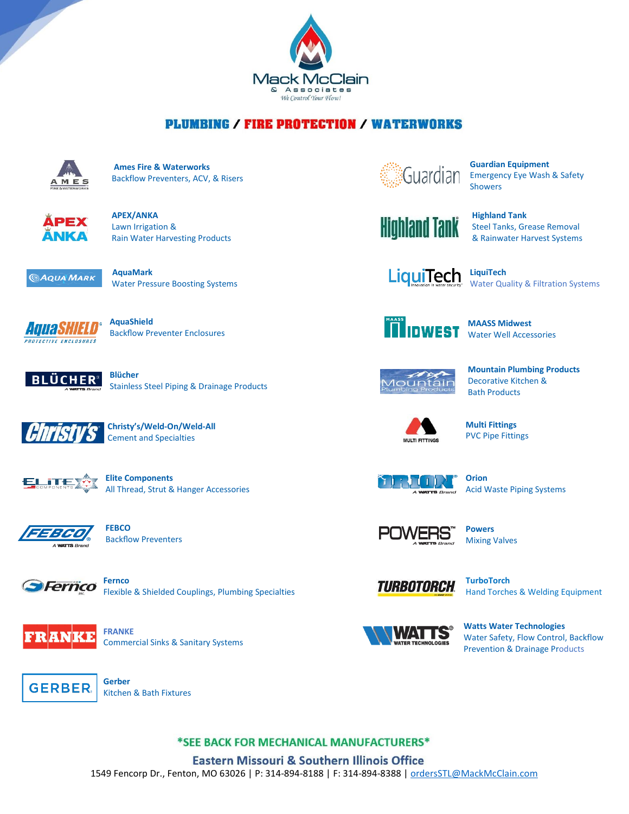

## **PLUMBING / FIRE PROTECTION / WATERWORKS**



 **Ames Fire & Waterworks** Backflow Preventers, ACV, & Risers



 **APEX/ANKA** Lawn Irrigation & Rain Water Harvesting Products



Water Pressure Boosting Systems



 **AquaShield AUU AD THELL** Backflow Preventer Enclosures



Stainless Steel Piping & Drainage Products



 **Christy's/Weld-On/Weld-All** Cement and Specialties



 **Elite Components** All Thread, Strut & Hanger Accessories



 **FEBCO** Backflow Preventers



Flexible & Shielded Couplings, Plumbing Specialties



 **FRANKE** Commercial Sinks & Sanitary Systems



**Guardian Equipment**<br>GUAI CITAL Emergency Eye Wash Emergency Eye Wash & Safety Showers

**Highland Tank** Highland Tank

Steel Tanks, Grease Removal & Rainwater Harvest Systems

 **LiquiTech**

Water Quality & Filtration Systems



 **MAASS Midwest** Water Well Accessories



 **Mountain Plumbing Products** Decorative Kitchen & Bath Products



 **Multi Fittings** PVC Pipe Fittings



 **Orion** Acid Waste Piping Systems



 **Powers** Mixing Valves



Hand Torches & Welding Equipment



 **Watts Water Technologies** Water Safety, Flow Control, Backflow Prevention & Drainage Products



Kitchen & Bath Fixtures

## \*SEE BACK FOR MECHANICAL MANUFACTURERS\*

**Eastern Missouri & Southern Illinois Office** 1549 Fencorp Dr., Fenton, MO 63026 | P: 314-894-8188 | F: 314-894-8388 | [ordersSTL@MackMcClain.com](mailto:ordersSTL@MackMcClain.com)